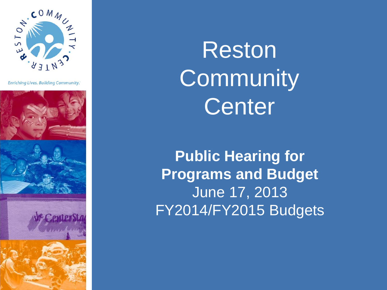

**Enriching Lives. Building Community.** 



Reston **Community** Center

**Public Hearing for Programs and Budget**  June 17, 2013 FY2014/FY2015 Budgets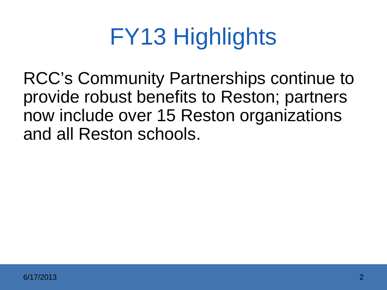### FY13 Highlights

RCC's Community Partnerships continue to provide robust benefits to Reston; partners now include over 15 Reston organizations and all Reston schools.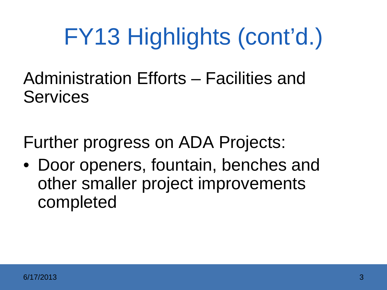Administration Efforts – Facilities and Services

Further progress on ADA Projects:

• Door openers, fountain, benches and other smaller project improvements completed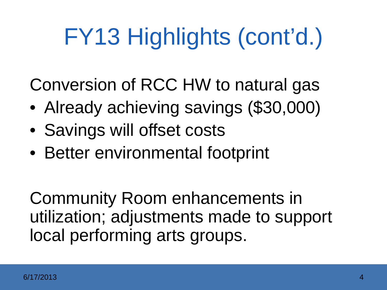Conversion of RCC HW to natural gas

- Already achieving savings (\$30,000)
- Savings will offset costs
- Better environmental footprint

Community Room enhancements in utilization; adjustments made to support local performing arts groups.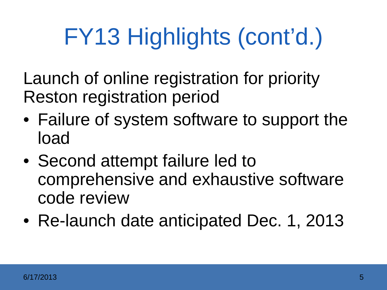Launch of online registration for priority Reston registration period

- Failure of system software to support the load
- Second attempt failure led to comprehensive and exhaustive software code review
- Re-launch date anticipated Dec. 1, 2013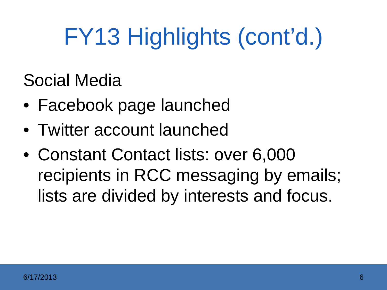Social Media

- Facebook page launched
- Twitter account launched
- Constant Contact lists: over 6,000 recipients in RCC messaging by emails; lists are divided by interests and focus.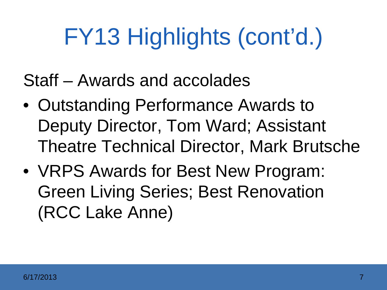Staff – Awards and accolades

- Outstanding Performance Awards to Deputy Director, Tom Ward; Assistant Theatre Technical Director, Mark Brutsche
- VRPS Awards for Best New Program: Green Living Series; Best Renovation (RCC Lake Anne)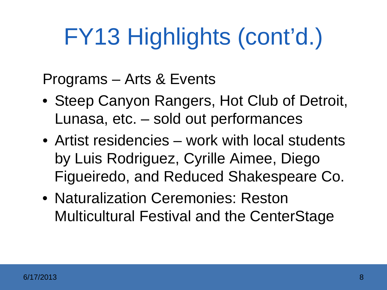Programs – Arts & Events

- Steep Canyon Rangers, Hot Club of Detroit, Lunasa, etc. – sold out performances
- Artist residencies work with local students by Luis Rodriguez, Cyrille Aimee, Diego Figueiredo, and Reduced Shakespeare Co.
- Naturalization Ceremonies: Reston Multicultural Festival and the CenterStage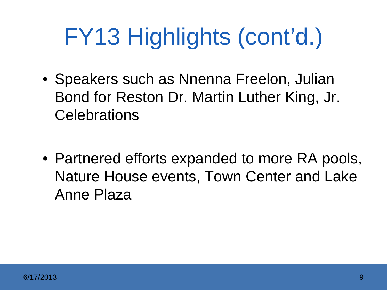- Speakers such as Nnenna Freelon, Julian Bond for Reston Dr. Martin Luther King, Jr. **Celebrations**
- Partnered efforts expanded to more RA pools, Nature House events, Town Center and Lake Anne Plaza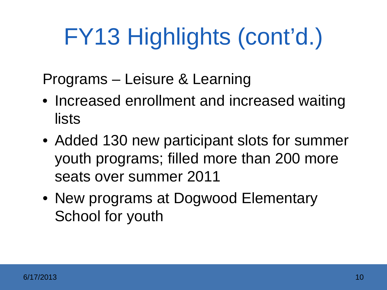Programs – Leisure & Learning

- Increased enrollment and increased waiting lists
- Added 130 new participant slots for summer youth programs; filled more than 200 more seats over summer 2011
- New programs at Dogwood Elementary School for youth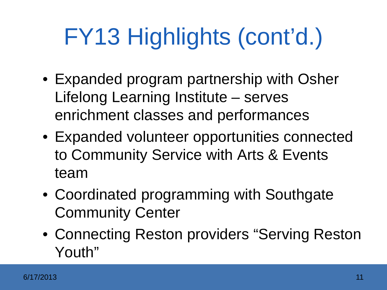- Expanded program partnership with Osher Lifelong Learning Institute – serves enrichment classes and performances
- Expanded volunteer opportunities connected to Community Service with Arts & Events team
- Coordinated programming with Southgate Community Center
- Connecting Reston providers "Serving Reston Youth"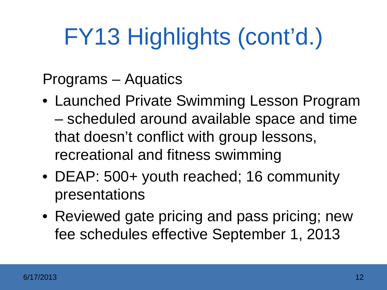Programs – Aquatics

- Launched Private Swimming Lesson Program – scheduled around available space and time that doesn't conflict with group lessons, recreational and fitness swimming
- DEAP: 500+ youth reached; 16 community presentations
- Reviewed gate pricing and pass pricing; new fee schedules effective September 1, 2013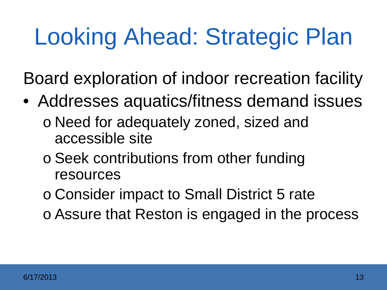### Looking Ahead: Strategic Plan

Board exploration of indoor recreation facility

- Addresses aquatics/fitness demand issues o Need for adequately zoned, sized and accessible site
	- o Seek contributions from other funding resources
	- o Consider impact to Small District 5 rate
	- o Assure that Reston is engaged in the process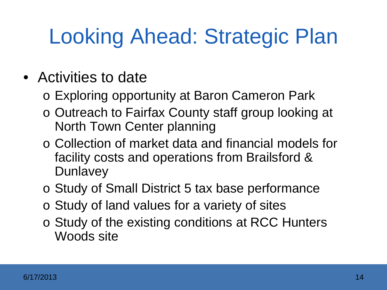### Looking Ahead: Strategic Plan

#### • Activities to date

- o Exploring opportunity at Baron Cameron Park
- o Outreach to Fairfax County staff group looking at North Town Center planning
- o Collection of market data and financial models for facility costs and operations from Brailsford & **Dunlavey**
- o Study of Small District 5 tax base performance
- o Study of land values for a variety of sites
- o Study of the existing conditions at RCC Hunters Woods site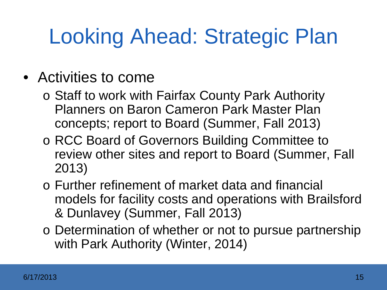### Looking Ahead: Strategic Plan

#### • Activities to come

- o Staff to work with Fairfax County Park Authority Planners on Baron Cameron Park Master Plan concepts; report to Board (Summer, Fall 2013)
- o RCC Board of Governors Building Committee to review other sites and report to Board (Summer, Fall 2013)
- o Further refinement of market data and financial models for facility costs and operations with Brailsford & Dunlavey (Summer, Fall 2013)
- o Determination of whether or not to pursue partnership with Park Authority (Winter, 2014)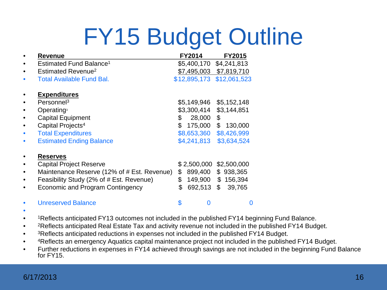### FY15 Budget Outline

|           | <b>Revenue</b>                              | <b>FY2014</b>    | <b>FY2015</b> |
|-----------|---------------------------------------------|------------------|---------------|
| $\bullet$ | Estimated Fund Balance <sup>1</sup>         | \$5,400,170      | \$4,241,813   |
| $\bullet$ | Estimated Revenue <sup>2</sup>              | \$7,495,003      | \$7,819,710   |
| $\bullet$ | <b>Total Available Fund Bal.</b>            | \$12,895,173     | \$12,061,523  |
|           | <b>Expenditures</b>                         |                  |               |
|           | Personne <sup>3</sup>                       | \$5,149,946      | \$5,152,148   |
|           | Operating                                   | \$3,300,414      | \$3,144,851   |
| $\bullet$ | <b>Capital Equipment</b>                    | \$<br>28,000     | \$            |
| $\bullet$ | Capital Projects <sup>4</sup>               | \$<br>175,000    | \$<br>130,000 |
| $\bullet$ | <b>Total Expenditures</b>                   | \$8,653,360      | \$8,426,999   |
| $\bullet$ | <b>Estimated Ending Balance</b>             | \$4,241,813      | \$3,634,524   |
|           | <b>Reserves</b>                             |                  |               |
|           | <b>Capital Project Reserve</b>              | \$2,500,000      | \$2,500,000   |
| $\bullet$ | Maintenance Reserve (12% of # Est. Revenue) | \$<br>899,400    | \$<br>938,365 |
| $\bullet$ | Feasibility Study (2% of # Est. Revenue)    | \$<br>149,900    | \$156,394     |
| $\bullet$ | Economic and Program Contingency            | \$<br>692,513 \$ | 39,765        |
|           | <b>Unreserved Balance</b>                   | \$<br>0          |               |

- •
- <sup>1</sup>Reflects anticipated FY13 outcomes not included in the published FY14 beginning Fund Balance.
- <sup>2</sup>Reflects anticipated Real Estate Tax and activity revenue not included in the published FY14 Budget.
- <sup>3</sup>Reflects anticipated reductions in expenses not included in the published FY14 Budget.
- 4Reflects an emergency Aquatics capital maintenance project not included in the published FY14 Budget.
- Further reductions in expenses in FY14 achieved through savings are not included in the beginning Fund Balance for FY15.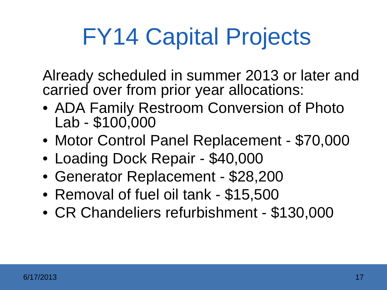### FY14 Capital Projects

Already scheduled in summer 2013 or later and carried over from prior year allocations:

- ADA Family Restroom Conversion of Photo Lab - \$100,000
- Motor Control Panel Replacement \$70,000
- Loading Dock Repair \$40,000
- Generator Replacement \$28,200
- Removal of fuel oil tank \$15,500
- CR Chandeliers refurbishment \$130,000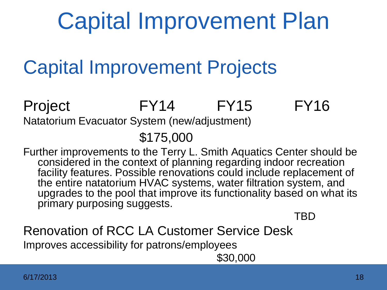### Capital Improvement Plan

### Capital Improvement Projects

Project FY14 FY15 FY16 Natatorium Evacuator System (new/adjustment)

\$175,000

Further improvements to the Terry L. Smith Aquatics Center should be considered in the context of planning regarding indoor recreation facility features. Possible renovations could include replacement of the entire natatorium HVAC systems, water filtration system, and upgrades to the pool that improve its functionality based on what its primary purposing suggests.

TBD

Renovation of RCC LA Customer Service Desk Improves accessibility for patrons/employees \$30,000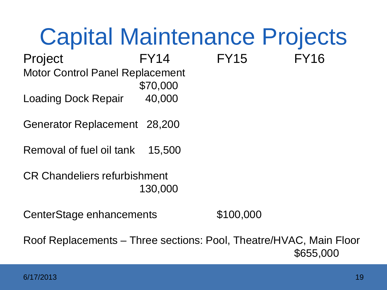### Capital Maintenance Projects Project FY14 FY15 FY16 Motor Control Panel Replacement \$70,000 Loading Dock Repair 40,000 Generator Replacement 28,200 Removal of fuel oil tank 15,500 CR Chandeliers refurbishment 130,000 CenterStage enhancements \$100,000

Roof Replacements – Three sections: Pool, Theatre/HVAC, Main Floor \$655,000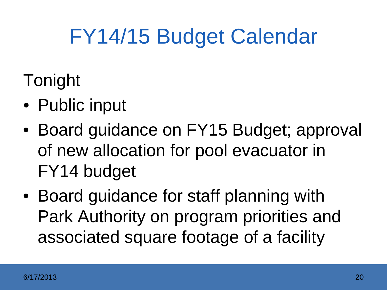### FY14/15 Budget Calendar

- Tonight
- Public input
- Board guidance on FY15 Budget; approval of new allocation for pool evacuator in FY14 budget
- Board guidance for staff planning with Park Authority on program priorities and associated square footage of a facility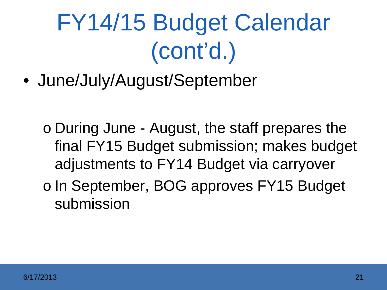### FY14/15 Budget Calendar (cont'd.)

• June/July/August/September

- o During June August, the staff prepares the final FY15 Budget submission; makes budget adjustments to FY14 Budget via carryover
- o In September, BOG approves FY15 Budget submission